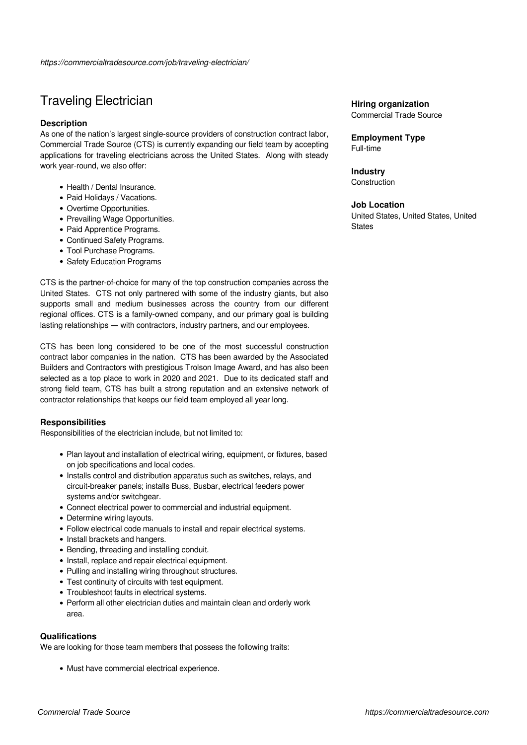# Traveling Electrician

# **Description**

As one of the nation's largest single-source providers of construction contract labor, Commercial Trade Source (CTS) is currently expanding our field team by accepting applications for traveling electricians across the United States. Along with steady work year-round, we also offer:

- Health / Dental Insurance.
- Paid Holidays / Vacations.
- Overtime Opportunities.
- Prevailing Wage Opportunities.
- Paid Apprentice Programs.
- Continued Safety Programs.
- Tool Purchase Programs.
- Safety Education Programs

CTS is the partner-of-choice for many of the top construction companies across the United States. CTS not only partnered with some of the industry giants, but also supports small and medium businesses across the country from our different regional offices. CTS is a family-owned company, and our primary goal is building lasting relationships — with contractors, industry partners, and our employees.

CTS has been long considered to be one of the most successful construction contract labor companies in the nation. CTS has been awarded by the Associated Builders and Contractors with prestigious Trolson Image Award, and has also been selected as a top place to work in 2020 and 2021. Due to its dedicated staff and strong field team, CTS has built a strong reputation and an extensive network of contractor relationships that keeps our field team employed all year long.

# **Responsibilities**

Responsibilities of the electrician include, but not limited to:

- Plan layout and installation of electrical wiring, equipment, or fixtures, based on job specifications and local codes.
- Installs control and distribution apparatus such as switches, relays, and circuit-breaker panels; installs Buss, Busbar, electrical feeders power systems and/or switchgear.
- Connect electrical power to commercial and industrial equipment.
- Determine wiring layouts.
- Follow electrical code manuals to install and repair electrical systems.
- Install brackets and hangers.
- Bending, threading and installing conduit.
- Install, replace and repair electrical equipment.
- Pulling and installing wiring throughout structures.
- Test continuity of circuits with test equipment.
- Troubleshoot faults in electrical systems.
- Perform all other electrician duties and maintain clean and orderly work area.

### **Qualifications**

We are looking for those team members that possess the following traits:

Must have commercial electrical experience.

# **Hiring organization**

Commercial Trade Source

## **Employment Type** Full-time

**Industry Construction** 

## **Job Location**

United States, United States, United **States**